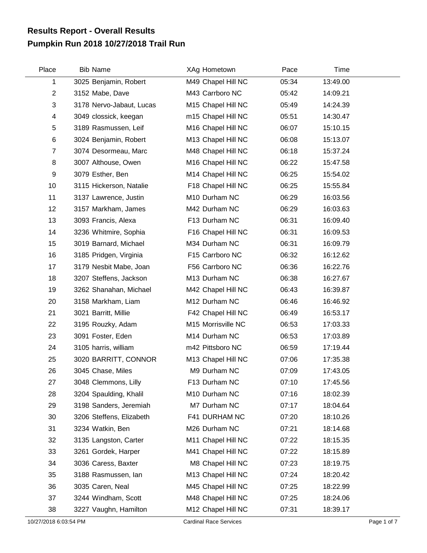## **Pumpkin Run 2018 10/27/2018 Trail Run Results Report - Overall Results**

| Place          | <b>Bib Name</b>          | XAg Hometown       | Pace  | Time     |
|----------------|--------------------------|--------------------|-------|----------|
| 1              | 3025 Benjamin, Robert    | M49 Chapel Hill NC | 05:34 | 13:49.00 |
| $\overline{2}$ | 3152 Mabe, Dave          | M43 Carrboro NC    | 05:42 | 14:09.21 |
| 3              | 3178 Nervo-Jabaut, Lucas | M15 Chapel Hill NC | 05:49 | 14:24.39 |
| 4              | 3049 clossick, keegan    | m15 Chapel Hill NC | 05:51 | 14:30.47 |
| 5              | 3189 Rasmussen, Leif     | M16 Chapel Hill NC | 06:07 | 15:10.15 |
| 6              | 3024 Benjamin, Robert    | M13 Chapel Hill NC | 06:08 | 15:13.07 |
| 7              | 3074 Desormeau, Marc     | M48 Chapel Hill NC | 06:18 | 15:37.24 |
| 8              | 3007 Althouse, Owen      | M16 Chapel Hill NC | 06:22 | 15:47.58 |
| 9              | 3079 Esther, Ben         | M14 Chapel Hill NC | 06:25 | 15:54.02 |
| 10             | 3115 Hickerson, Natalie  | F18 Chapel Hill NC | 06:25 | 15:55.84 |
| 11             | 3137 Lawrence, Justin    | M10 Durham NC      | 06:29 | 16:03.56 |
| 12             | 3157 Markham, James      | M42 Durham NC      | 06:29 | 16:03.63 |
| 13             | 3093 Francis, Alexa      | F13 Durham NC      | 06:31 | 16:09.40 |
| 14             | 3236 Whitmire, Sophia    | F16 Chapel Hill NC | 06:31 | 16:09.53 |
| 15             | 3019 Barnard, Michael    | M34 Durham NC      | 06:31 | 16:09.79 |
| 16             | 3185 Pridgen, Virginia   | F15 Carrboro NC    | 06:32 | 16:12.62 |
| 17             | 3179 Nesbit Mabe, Joan   | F56 Carrboro NC    | 06:36 | 16:22.76 |
| 18             | 3207 Steffens, Jackson   | M13 Durham NC      | 06:38 | 16:27.67 |
| 19             | 3262 Shanahan, Michael   | M42 Chapel Hill NC | 06:43 | 16:39.87 |
| 20             | 3158 Markham, Liam       | M12 Durham NC      | 06:46 | 16:46.92 |
| 21             | 3021 Barritt, Millie     | F42 Chapel Hill NC | 06:49 | 16:53.17 |
| 22             | 3195 Rouzky, Adam        | M15 Morrisville NC | 06:53 | 17:03.33 |
| 23             | 3091 Foster, Eden        | M14 Durham NC      | 06:53 | 17:03.89 |
| 24             | 3105 harris, william     | m42 Pittsboro NC   | 06:59 | 17:19.44 |
| 25             | 3020 BARRITT, CONNOR     | M13 Chapel Hill NC | 07:06 | 17:35.38 |
| 26             | 3045 Chase, Miles        | M9 Durham NC       | 07:09 | 17:43.05 |
| 27             | 3048 Clemmons, Lilly     | F13 Durham NC      | 07:10 | 17:45.56 |
| 28             | 3204 Spaulding, Khalil   | M10 Durham NC      | 07:16 | 18:02.39 |
| 29             | 3198 Sanders, Jeremiah   | M7 Durham NC       | 07:17 | 18:04.64 |
| 30             | 3206 Steffens, Elizabeth | F41 DURHAM NC      | 07:20 | 18:10.26 |
| 31             | 3234 Watkin, Ben         | M26 Durham NC      | 07:21 | 18:14.68 |
| 32             | 3135 Langston, Carter    | M11 Chapel Hill NC | 07:22 | 18:15.35 |
| 33             | 3261 Gordek, Harper      | M41 Chapel Hill NC | 07:22 | 18:15.89 |
| 34             | 3036 Caress, Baxter      | M8 Chapel Hill NC  | 07:23 | 18:19.75 |
| 35             | 3188 Rasmussen, lan      | M13 Chapel Hill NC | 07:24 | 18:20.42 |
| 36             | 3035 Caren, Neal         | M45 Chapel Hill NC | 07:25 | 18:22.99 |
| 37             | 3244 Windham, Scott      | M48 Chapel Hill NC | 07:25 | 18:24.06 |
| 38             | 3227 Vaughn, Hamilton    | M12 Chapel Hill NC | 07:31 | 18:39.17 |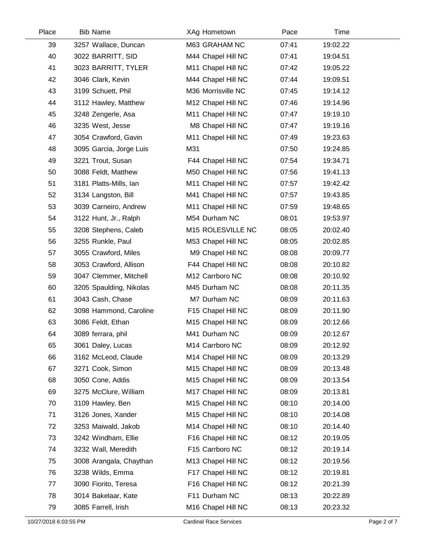| Place | <b>Bib Name</b>         | XAg Hometown       | Pace  | Time     |  |
|-------|-------------------------|--------------------|-------|----------|--|
| 39    | 3257 Wallace, Duncan    | M63 GRAHAM NC      | 07:41 | 19:02.22 |  |
| 40    | 3022 BARRITT, SID       | M44 Chapel Hill NC | 07:41 | 19:04.51 |  |
| 41    | 3023 BARRITT, TYLER     | M11 Chapel Hill NC | 07:42 | 19:05.22 |  |
| 42    | 3046 Clark, Kevin       | M44 Chapel Hill NC | 07:44 | 19:09.51 |  |
| 43    | 3199 Schuett, Phil      | M36 Morrisville NC | 07:45 | 19:14.12 |  |
| 44    | 3112 Hawley, Matthew    | M12 Chapel Hill NC | 07:46 | 19:14.96 |  |
| 45    | 3248 Zengerle, Asa      | M11 Chapel Hill NC | 07:47 | 19:19.10 |  |
| 46    | 3235 West, Jesse        | M8 Chapel Hill NC  | 07:47 | 19:19.16 |  |
| 47    | 3054 Crawford, Gavin    | M11 Chapel Hill NC | 07:49 | 19:23.63 |  |
| 48    | 3095 Garcia, Jorge Luis | M31                | 07:50 | 19:24.85 |  |
| 49    | 3221 Trout, Susan       | F44 Chapel Hill NC | 07:54 | 19:34.71 |  |
| 50    | 3088 Feldt, Matthew     | M50 Chapel Hill NC | 07:56 | 19:41.13 |  |
| 51    | 3181 Platts-Mills, Ian  | M11 Chapel Hill NC | 07:57 | 19:42.42 |  |
| 52    | 3134 Langston, Bill     | M41 Chapel Hill NC | 07:57 | 19:43.85 |  |
| 53    | 3039 Carneiro, Andrew   | M11 Chapel Hill NC | 07:59 | 19:48.65 |  |
| 54    | 3122 Hunt, Jr., Ralph   | M54 Durham NC      | 08:01 | 19:53.97 |  |
| 55    | 3208 Stephens, Caleb    | M15 ROLESVILLE NC  | 08:05 | 20:02.40 |  |
| 56    | 3255 Runkle, Paul       | M53 Chapel Hill NC | 08:05 | 20:02.85 |  |
| 57    | 3055 Crawford, Miles    | M9 Chapel Hill NC  | 08:08 | 20:09.77 |  |
| 58    | 3053 Crawford, Allison  | F44 Chapel Hill NC | 08:08 | 20:10.82 |  |
| 59    | 3047 Clemmer, Mitchell  | M12 Carrboro NC    | 08:08 | 20:10.92 |  |
| 60    | 3205 Spaulding, Nikolas | M45 Durham NC      | 08:08 | 20:11.35 |  |
| 61    | 3043 Cash, Chase        | M7 Durham NC       | 08:09 | 20:11.63 |  |
| 62    | 3098 Hammond, Caroline  | F15 Chapel Hill NC | 08:09 | 20:11.90 |  |
| 63    | 3086 Feldt, Ethan       | M15 Chapel Hill NC | 08:09 | 20:12.66 |  |
| 64    | 3089 ferrara, phil      | M41 Durham NC      | 08:09 | 20:12.67 |  |
| 65    | 3061 Daley, Lucas       | M14 Carrboro NC    | 08:09 | 20:12.92 |  |
| 66    | 3162 McLeod, Claude     | M14 Chapel Hill NC | 08:09 | 20:13.29 |  |
| 67    | 3271 Cook, Simon        | M15 Chapel Hill NC | 08:09 | 20:13.48 |  |
| 68    | 3050 Cone, Addis        | M15 Chapel Hill NC | 08:09 | 20:13.54 |  |
| 69    | 3275 McClure, William   | M17 Chapel Hill NC | 08:09 | 20:13.81 |  |
| 70    | 3109 Hawley, Ben        | M15 Chapel Hill NC | 08:10 | 20:14.00 |  |
| 71    | 3126 Jones, Xander      | M15 Chapel Hill NC | 08:10 | 20:14.08 |  |
| 72    | 3253 Maiwald, Jakob     | M14 Chapel Hill NC | 08:10 | 20:14.40 |  |
| 73    | 3242 Windham, Ellie     | F16 Chapel Hill NC | 08:12 | 20:19.05 |  |
| 74    | 3232 Wall, Meredith     | F15 Carrboro NC    | 08:12 | 20:19.14 |  |
| 75    | 3008 Arangala, Chaythan | M13 Chapel Hill NC | 08:12 | 20:19.56 |  |
| 76    | 3238 Wilds, Emma        | F17 Chapel Hill NC | 08:12 | 20:19.81 |  |
| 77    | 3090 Fiorito, Teresa    | F16 Chapel Hill NC | 08:12 | 20:21.39 |  |
| 78    | 3014 Bakelaar, Kate     | F11 Durham NC      | 08:13 | 20:22.89 |  |
| 79    | 3085 Farrell, Irish     | M16 Chapel Hill NC | 08:13 | 20:23.32 |  |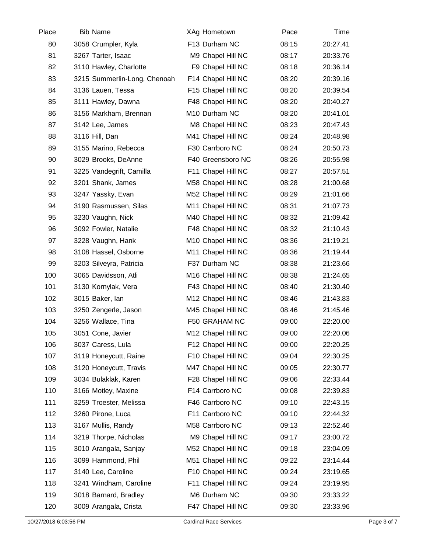| Place | <b>Bib Name</b>              | XAg Hometown       | Pace  | Time     |  |
|-------|------------------------------|--------------------|-------|----------|--|
| 80    | 3058 Crumpler, Kyla          | F13 Durham NC      | 08:15 | 20:27.41 |  |
| 81    | 3267 Tarter, Isaac           | M9 Chapel Hill NC  | 08:17 | 20:33.76 |  |
| 82    | 3110 Hawley, Charlotte       | F9 Chapel Hill NC  | 08:18 | 20:36.14 |  |
| 83    | 3215 Summerlin-Long, Chenoah | F14 Chapel Hill NC | 08:20 | 20:39.16 |  |
| 84    | 3136 Lauen, Tessa            | F15 Chapel Hill NC | 08:20 | 20:39.54 |  |
| 85    | 3111 Hawley, Dawna           | F48 Chapel Hill NC | 08:20 | 20:40.27 |  |
| 86    | 3156 Markham, Brennan        | M10 Durham NC      | 08:20 | 20:41.01 |  |
| 87    | 3142 Lee, James              | M8 Chapel Hill NC  | 08:23 | 20:47.43 |  |
| 88    | 3116 Hill, Dan               | M41 Chapel Hill NC | 08:24 | 20:48.98 |  |
| 89    | 3155 Marino, Rebecca         | F30 Carrboro NC    | 08:24 | 20:50.73 |  |
| 90    | 3029 Brooks, DeAnne          | F40 Greensboro NC  | 08:26 | 20:55.98 |  |
| 91    | 3225 Vandegrift, Camilla     | F11 Chapel Hill NC | 08:27 | 20:57.51 |  |
| 92    | 3201 Shank, James            | M58 Chapel Hill NC | 08:28 | 21:00.68 |  |
| 93    | 3247 Yassky, Evan            | M52 Chapel Hill NC | 08:29 | 21:01.66 |  |
| 94    | 3190 Rasmussen, Silas        | M11 Chapel Hill NC | 08:31 | 21:07.73 |  |
| 95    | 3230 Vaughn, Nick            | M40 Chapel Hill NC | 08:32 | 21:09.42 |  |
| 96    | 3092 Fowler, Natalie         | F48 Chapel Hill NC | 08:32 | 21:10.43 |  |
| 97    | 3228 Vaughn, Hank            | M10 Chapel Hill NC | 08:36 | 21:19.21 |  |
| 98    | 3108 Hassel, Osborne         | M11 Chapel Hill NC | 08:36 | 21:19.44 |  |
| 99    | 3203 Silveyra, Patricia      | F37 Durham NC      | 08:38 | 21:23.66 |  |
| 100   | 3065 Davidsson, Atli         | M16 Chapel Hill NC | 08:38 | 21:24.65 |  |
| 101   | 3130 Kornylak, Vera          | F43 Chapel Hill NC | 08:40 | 21:30.40 |  |
| 102   | 3015 Baker, lan              | M12 Chapel Hill NC | 08:46 | 21:43.83 |  |
| 103   | 3250 Zengerle, Jason         | M45 Chapel Hill NC | 08:46 | 21:45.46 |  |
| 104   | 3256 Wallace, Tina           | F50 GRAHAM NC      | 09:00 | 22:20.00 |  |
| 105   | 3051 Cone, Javier            | M12 Chapel Hill NC | 09:00 | 22:20.06 |  |
| 106   | 3037 Caress, Lula            | F12 Chapel Hill NC | 09:00 | 22:20.25 |  |
| 107   | 3119 Honeycutt, Raine        | F10 Chapel Hill NC | 09:04 | 22:30.25 |  |
| 108   | 3120 Honeycutt, Travis       | M47 Chapel Hill NC | 09:05 | 22:30.77 |  |
| 109   | 3034 Bulaklak, Karen         | F28 Chapel Hill NC | 09:06 | 22:33.44 |  |
| 110   | 3166 Motley, Maxine          | F14 Carrboro NC    | 09:08 | 22:39.83 |  |
| 111   | 3259 Troester, Melissa       | F46 Carrboro NC    | 09:10 | 22:43.15 |  |
| 112   | 3260 Pirone, Luca            | F11 Carrboro NC    | 09:10 | 22:44.32 |  |
| 113   | 3167 Mullis, Randy           | M58 Carrboro NC    | 09:13 | 22:52.46 |  |
| 114   | 3219 Thorpe, Nicholas        | M9 Chapel Hill NC  | 09:17 | 23:00.72 |  |
| 115   | 3010 Arangala, Sanjay        | M52 Chapel Hill NC | 09:18 | 23:04.09 |  |
| 116   | 3099 Hammond, Phil           | M51 Chapel Hill NC | 09:22 | 23:14.44 |  |
| 117   | 3140 Lee, Caroline           | F10 Chapel Hill NC | 09:24 | 23:19.65 |  |
| 118   | 3241 Windham, Caroline       | F11 Chapel Hill NC | 09:24 | 23:19.95 |  |
| 119   | 3018 Barnard, Bradley        | M6 Durham NC       | 09:30 | 23:33.22 |  |
| 120   | 3009 Arangala, Crista        | F47 Chapel Hill NC | 09:30 | 23:33.96 |  |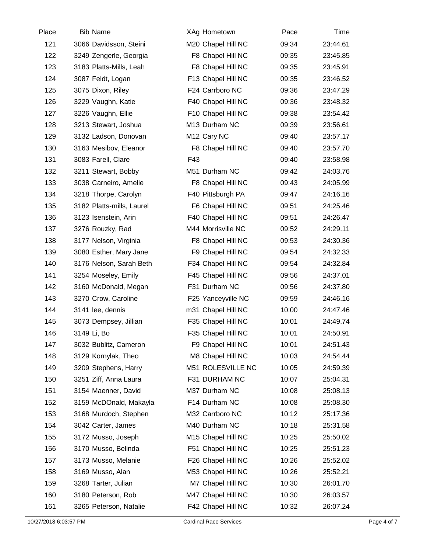| Place | <b>Bib Name</b>           | XAg Hometown            | Pace  | Time     |  |
|-------|---------------------------|-------------------------|-------|----------|--|
| 121   | 3066 Davidsson, Steini    | M20 Chapel Hill NC      | 09:34 | 23:44.61 |  |
| 122   | 3249 Zengerle, Georgia    | F8 Chapel Hill NC       | 09:35 | 23:45.85 |  |
| 123   | 3183 Platts-Mills, Leah   | F8 Chapel Hill NC       | 09:35 | 23:45.91 |  |
| 124   | 3087 Feldt, Logan         | F13 Chapel Hill NC      | 09:35 | 23:46.52 |  |
| 125   | 3075 Dixon, Riley         | F24 Carrboro NC         | 09:36 | 23:47.29 |  |
| 126   | 3229 Vaughn, Katie        | F40 Chapel Hill NC      | 09:36 | 23:48.32 |  |
| 127   | 3226 Vaughn, Ellie        | F10 Chapel Hill NC      | 09:38 | 23:54.42 |  |
| 128   | 3213 Stewart, Joshua      | M13 Durham NC           | 09:39 | 23:56.61 |  |
| 129   | 3132 Ladson, Donovan      | M <sub>12</sub> Cary NC | 09:40 | 23:57.17 |  |
| 130   | 3163 Mesibov, Eleanor     | F8 Chapel Hill NC       | 09:40 | 23:57.70 |  |
| 131   | 3083 Farell, Clare        | F43                     | 09:40 | 23:58.98 |  |
| 132   | 3211 Stewart, Bobby       | M51 Durham NC           | 09:42 | 24:03.76 |  |
| 133   | 3038 Carneiro, Amelie     | F8 Chapel Hill NC       | 09:43 | 24:05.99 |  |
| 134   | 3218 Thorpe, Carolyn      | F40 Pittsburgh PA       | 09:47 | 24:16.16 |  |
| 135   | 3182 Platts-mills, Laurel | F6 Chapel Hill NC       | 09:51 | 24:25.46 |  |
| 136   | 3123 Isenstein, Arin      | F40 Chapel Hill NC      | 09:51 | 24:26.47 |  |
| 137   | 3276 Rouzky, Rad          | M44 Morrisville NC      | 09:52 | 24:29.11 |  |
| 138   | 3177 Nelson, Virginia     | F8 Chapel Hill NC       | 09:53 | 24:30.36 |  |
| 139   | 3080 Esther, Mary Jane    | F9 Chapel Hill NC       | 09:54 | 24:32.33 |  |
| 140   | 3176 Nelson, Sarah Beth   | F34 Chapel Hill NC      | 09:54 | 24:32.84 |  |
| 141   | 3254 Moseley, Emily       | F45 Chapel Hill NC      | 09:56 | 24:37.01 |  |
| 142   | 3160 McDonald, Megan      | F31 Durham NC           | 09:56 | 24:37.80 |  |
| 143   | 3270 Crow, Caroline       | F25 Yanceyville NC      | 09:59 | 24:46.16 |  |
| 144   | 3141 lee, dennis          | m31 Chapel Hill NC      | 10:00 | 24:47.46 |  |
| 145   | 3073 Dempsey, Jillian     | F35 Chapel Hill NC      | 10:01 | 24:49.74 |  |
| 146   | 3149 Li, Bo               | F35 Chapel Hill NC      | 10:01 | 24:50.91 |  |
| 147   | 3032 Bublitz, Cameron     | F9 Chapel Hill NC       | 10:01 | 24:51.43 |  |
| 148   | 3129 Kornylak, Theo       | M8 Chapel Hill NC       | 10:03 | 24:54.44 |  |
| 149   | 3209 Stephens, Harry      | M51 ROLESVILLE NC       | 10:05 | 24:59.39 |  |
| 150   | 3251 Ziff, Anna Laura     | F31 DURHAM NC           | 10:07 | 25:04.31 |  |
| 151   | 3154 Maenner, David       | M37 Durham NC           | 10:08 | 25:08.13 |  |
| 152   | 3159 McDOnald, Makayla    | F14 Durham NC           | 10:08 | 25:08.30 |  |
| 153   | 3168 Murdoch, Stephen     | M32 Carrboro NC         | 10:12 | 25:17.36 |  |
| 154   | 3042 Carter, James        | M40 Durham NC           | 10:18 | 25:31.58 |  |
| 155   | 3172 Musso, Joseph        | M15 Chapel Hill NC      | 10:25 | 25:50.02 |  |
| 156   | 3170 Musso, Belinda       | F51 Chapel Hill NC      | 10:25 | 25:51.23 |  |
| 157   | 3173 Musso, Melanie       | F26 Chapel Hill NC      | 10:26 | 25:52.02 |  |
| 158   | 3169 Musso, Alan          | M53 Chapel Hill NC      | 10:26 | 25:52.21 |  |
| 159   | 3268 Tarter, Julian       | M7 Chapel Hill NC       | 10:30 | 26:01.70 |  |
| 160   | 3180 Peterson, Rob        | M47 Chapel Hill NC      | 10:30 | 26:03.57 |  |
| 161   | 3265 Peterson, Natalie    | F42 Chapel Hill NC      | 10:32 | 26:07.24 |  |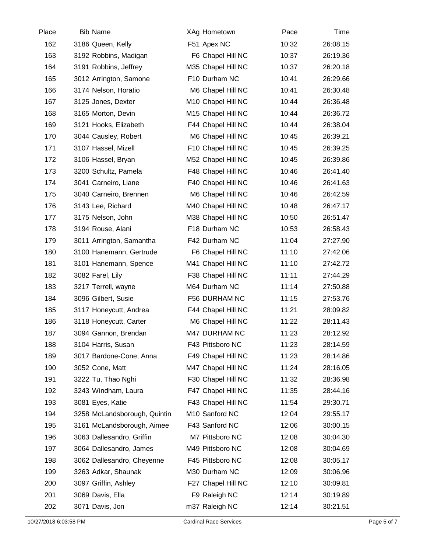| Place | <b>Bib Name</b>              | XAg Hometown       | Pace  | Time     |  |
|-------|------------------------------|--------------------|-------|----------|--|
| 162   | 3186 Queen, Kelly            | F51 Apex NC        | 10:32 | 26:08.15 |  |
| 163   | 3192 Robbins, Madigan        | F6 Chapel Hill NC  | 10:37 | 26:19.36 |  |
| 164   | 3191 Robbins, Jeffrey        | M35 Chapel Hill NC | 10:37 | 26:20.18 |  |
| 165   | 3012 Arrington, Samone       | F10 Durham NC      | 10:41 | 26:29.66 |  |
| 166   | 3174 Nelson, Horatio         | M6 Chapel Hill NC  | 10:41 | 26:30.48 |  |
| 167   | 3125 Jones, Dexter           | M10 Chapel Hill NC | 10:44 | 26:36.48 |  |
| 168   | 3165 Morton, Devin           | M15 Chapel Hill NC | 10:44 | 26:36.72 |  |
| 169   | 3121 Hooks, Elizabeth        | F44 Chapel Hill NC | 10:44 | 26:38.04 |  |
| 170   | 3044 Causley, Robert         | M6 Chapel Hill NC  | 10:45 | 26:39.21 |  |
| 171   | 3107 Hassel, Mizell          | F10 Chapel Hill NC | 10:45 | 26:39.25 |  |
| 172   | 3106 Hassel, Bryan           | M52 Chapel Hill NC | 10:45 | 26:39.86 |  |
| 173   | 3200 Schultz, Pamela         | F48 Chapel Hill NC | 10:46 | 26:41.40 |  |
| 174   | 3041 Carneiro, Liane         | F40 Chapel Hill NC | 10:46 | 26:41.63 |  |
| 175   | 3040 Carneiro, Brennen       | M6 Chapel Hill NC  | 10:46 | 26:42.59 |  |
| 176   | 3143 Lee, Richard            | M40 Chapel Hill NC | 10:48 | 26:47.17 |  |
| 177   | 3175 Nelson, John            | M38 Chapel Hill NC | 10:50 | 26:51.47 |  |
| 178   | 3194 Rouse, Alani            | F18 Durham NC      | 10:53 | 26:58.43 |  |
| 179   | 3011 Arrington, Samantha     | F42 Durham NC      | 11:04 | 27:27.90 |  |
| 180   | 3100 Hanemann, Gertrude      | F6 Chapel Hill NC  | 11:10 | 27:42.06 |  |
| 181   | 3101 Hanemann, Spence        | M41 Chapel Hill NC | 11:10 | 27:42.72 |  |
| 182   | 3082 Farel, Lily             | F38 Chapel Hill NC | 11:11 | 27:44.29 |  |
| 183   | 3217 Terrell, wayne          | M64 Durham NC      | 11:14 | 27:50.88 |  |
| 184   | 3096 Gilbert, Susie          | F56 DURHAM NC      | 11:15 | 27:53.76 |  |
| 185   | 3117 Honeycutt, Andrea       | F44 Chapel Hill NC | 11:21 | 28:09.82 |  |
| 186   | 3118 Honeycutt, Carter       | M6 Chapel Hill NC  | 11:22 | 28:11.43 |  |
| 187   | 3094 Gannon, Brendan         | M47 DURHAM NC      | 11:23 | 28:12.92 |  |
| 188   | 3104 Harris, Susan           | F43 Pittsboro NC   | 11:23 | 28:14.59 |  |
| 189   | 3017 Bardone-Cone, Anna      | F49 Chapel Hill NC | 11:23 | 28:14.86 |  |
| 190   | 3052 Cone, Matt              | M47 Chapel Hill NC | 11:24 | 28:16.05 |  |
| 191   | 3222 Tu, Thao Nghi           | F30 Chapel Hill NC | 11:32 | 28:36.98 |  |
| 192   | 3243 Windham, Laura          | F47 Chapel Hill NC | 11:35 | 28:44.16 |  |
| 193   | 3081 Eyes, Katie             | F43 Chapel Hill NC | 11:54 | 29:30.71 |  |
| 194   | 3258 McLandsborough, Quintin | M10 Sanford NC     | 12:04 | 29:55.17 |  |
| 195   | 3161 McLandsborough, Aimee   | F43 Sanford NC     | 12:06 | 30:00.15 |  |
| 196   | 3063 Dallesandro, Griffin    | M7 Pittsboro NC    | 12:08 | 30:04.30 |  |
| 197   | 3064 Dallesandro, James      | M49 Pittsboro NC   | 12:08 | 30:04.69 |  |
| 198   | 3062 Dallesandro, Cheyenne   | F45 Pittsboro NC   | 12:08 | 30:05.17 |  |
| 199   | 3263 Adkar, Shaunak          | M30 Durham NC      | 12:09 | 30:06.96 |  |
| 200   | 3097 Griffin, Ashley         | F27 Chapel Hill NC | 12:10 | 30:09.81 |  |
| 201   | 3069 Davis, Ella             | F9 Raleigh NC      | 12:14 | 30:19.89 |  |
| 202   | 3071 Davis, Jon              | m37 Raleigh NC     | 12:14 | 30:21.51 |  |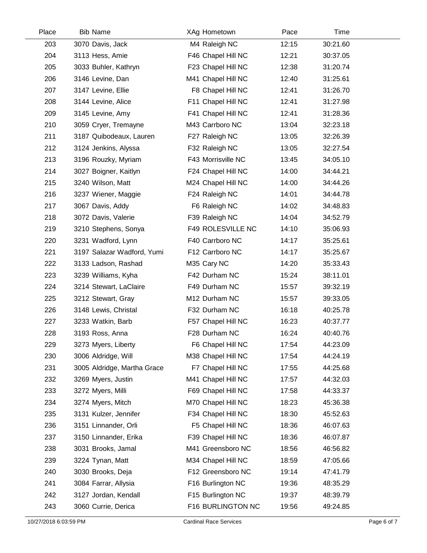| Place | <b>Bib Name</b>             | XAg Hometown       | Pace  | Time     |  |
|-------|-----------------------------|--------------------|-------|----------|--|
| 203   | 3070 Davis, Jack            | M4 Raleigh NC      | 12:15 | 30:21.60 |  |
| 204   | 3113 Hess, Amie             | F46 Chapel Hill NC | 12:21 | 30:37.05 |  |
| 205   | 3033 Buhler, Kathryn        | F23 Chapel Hill NC | 12:38 | 31:20.74 |  |
| 206   | 3146 Levine, Dan            | M41 Chapel Hill NC | 12:40 | 31:25.61 |  |
| 207   | 3147 Levine, Ellie          | F8 Chapel Hill NC  | 12:41 | 31:26.70 |  |
| 208   | 3144 Levine, Alice          | F11 Chapel Hill NC | 12:41 | 31:27.98 |  |
| 209   | 3145 Levine, Amy            | F41 Chapel Hill NC | 12:41 | 31:28.36 |  |
| 210   | 3059 Cryer, Tremayne        | M43 Carrboro NC    | 13:04 | 32:23.18 |  |
| 211   | 3187 Quibodeaux, Lauren     | F27 Raleigh NC     | 13:05 | 32:26.39 |  |
| 212   | 3124 Jenkins, Alyssa        | F32 Raleigh NC     | 13:05 | 32:27.54 |  |
| 213   | 3196 Rouzky, Myriam         | F43 Morrisville NC | 13:45 | 34:05.10 |  |
| 214   | 3027 Boigner, Kaitlyn       | F24 Chapel Hill NC | 14:00 | 34:44.21 |  |
| 215   | 3240 Wilson, Matt           | M24 Chapel Hill NC | 14:00 | 34:44.26 |  |
| 216   | 3237 Wiener, Maggie         | F24 Raleigh NC     | 14:01 | 34:44.78 |  |
| 217   | 3067 Davis, Addy            | F6 Raleigh NC      | 14:02 | 34:48.83 |  |
| 218   | 3072 Davis, Valerie         | F39 Raleigh NC     | 14:04 | 34:52.79 |  |
| 219   | 3210 Stephens, Sonya        | F49 ROLESVILLE NC  | 14:10 | 35:06.93 |  |
| 220   | 3231 Wadford, Lynn          | F40 Carrboro NC    | 14:17 | 35:25.61 |  |
| 221   | 3197 Salazar Wadford, Yumi  | F12 Carrboro NC    | 14:17 | 35:25.67 |  |
| 222   | 3133 Ladson, Rashad         | M35 Cary NC        | 14:20 | 35:33.43 |  |
| 223   | 3239 Williams, Kyha         | F42 Durham NC      | 15:24 | 38:11.01 |  |
| 224   | 3214 Stewart, LaClaire      | F49 Durham NC      | 15:57 | 39:32.19 |  |
| 225   | 3212 Stewart, Gray          | M12 Durham NC      | 15:57 | 39:33.05 |  |
| 226   | 3148 Lewis, Christal        | F32 Durham NC      | 16:18 | 40:25.78 |  |
| 227   | 3233 Watkin, Barb           | F57 Chapel Hill NC | 16:23 | 40:37.77 |  |
| 228   | 3193 Ross, Anna             | F28 Durham NC      | 16:24 | 40:40.76 |  |
| 229   | 3273 Myers, Liberty         | F6 Chapel Hill NC  | 17:54 | 44:23.09 |  |
| 230   | 3006 Aldridge, Will         | M38 Chapel Hill NC | 17:54 | 44:24.19 |  |
| 231   | 3005 Aldridge, Martha Grace | F7 Chapel Hill NC  | 17:55 | 44:25.68 |  |
| 232   | 3269 Myers, Justin          | M41 Chapel Hill NC | 17:57 | 44:32.03 |  |
| 233   | 3272 Myers, Milli           | F69 Chapel Hill NC | 17:58 | 44:33.37 |  |
| 234   | 3274 Myers, Mitch           | M70 Chapel Hill NC | 18:23 | 45:36.38 |  |
| 235   | 3131 Kulzer, Jennifer       | F34 Chapel Hill NC | 18:30 | 45:52.63 |  |
| 236   | 3151 Linnander, Orli        | F5 Chapel Hill NC  | 18:36 | 46:07.63 |  |
| 237   | 3150 Linnander, Erika       | F39 Chapel Hill NC | 18:36 | 46:07.87 |  |
| 238   | 3031 Brooks, Jamal          | M41 Greensboro NC  | 18:56 | 46:56.82 |  |
| 239   | 3224 Tynan, Matt            | M34 Chapel Hill NC | 18:59 | 47:05.66 |  |
| 240   | 3030 Brooks, Deja           | F12 Greensboro NC  | 19:14 | 47:41.79 |  |
| 241   | 3084 Farrar, Allysia        | F16 Burlington NC  | 19:36 | 48:35.29 |  |
| 242   | 3127 Jordan, Kendall        | F15 Burlington NC  | 19:37 | 48:39.79 |  |
| 243   | 3060 Currie, Derica         | F16 BURLINGTON NC  | 19:56 | 49:24.85 |  |